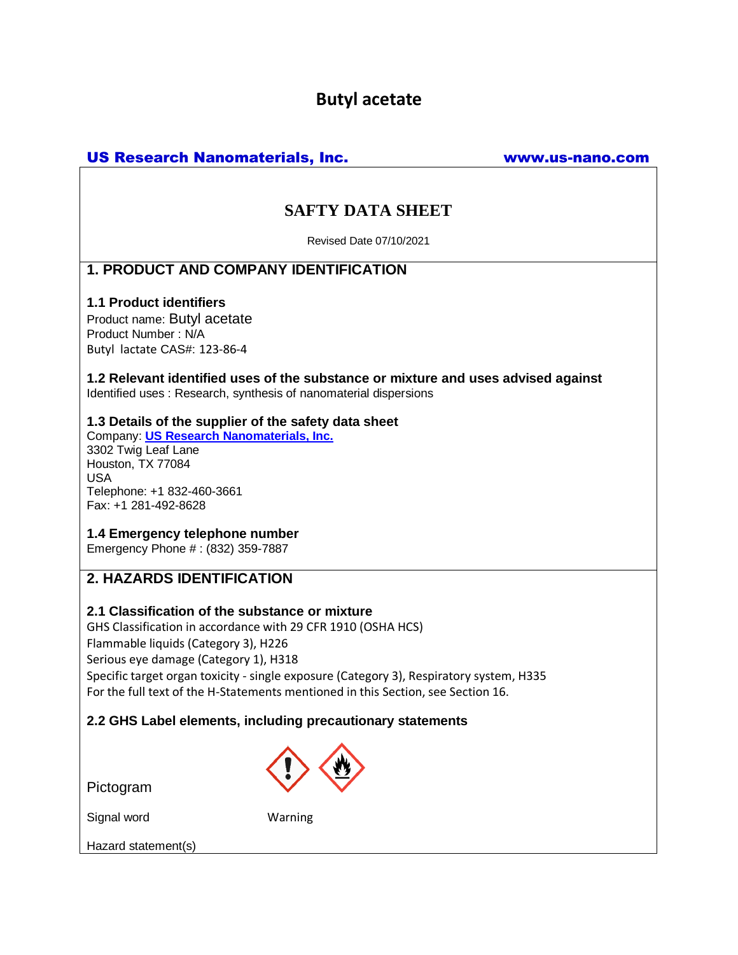# **Butyl acetate**

# US Research Nanomaterials, Inc. www.us-nano.com

# **SAFTY DATA SHEET**

Revised Date 07/10/2021

## **1. PRODUCT AND COMPANY IDENTIFICATION**

## **1.1 Product identifiers**

Product name: Butyl acetate Product Number : N/A Butyl lactate CAS#: 123-86-4

**1.2 Relevant identified uses of the substance or mixture and uses advised against** Identified uses : Research, synthesis of nanomaterial dispersions

## **1.3 Details of the supplier of the safety data sheet**

Company: **[US Research Nanomaterials, Inc.](http://www.us-nano.com/)** 3302 Twig Leaf Lane Houston, TX 77084 USA Telephone: +1 832-460-3661 Fax: +1 281-492-8628

## **1.4 Emergency telephone number**

Emergency Phone # : (832) 359-7887

# **2. HAZARDS IDENTIFICATION**

## **2.1 Classification of the substance or mixture**

GHS Classification in accordance with 29 CFR 1910 (OSHA HCS) Flammable liquids (Category 3), H226 Serious eye damage (Category 1), H318 Specific target organ toxicity - single exposure (Category 3), Respiratory system, H335 For the full text of the H-Statements mentioned in this Section, see Section 16.

## **2.2 GHS Label elements, including precautionary statements**

Pictogram



Signal word Warning

Hazard statement(s)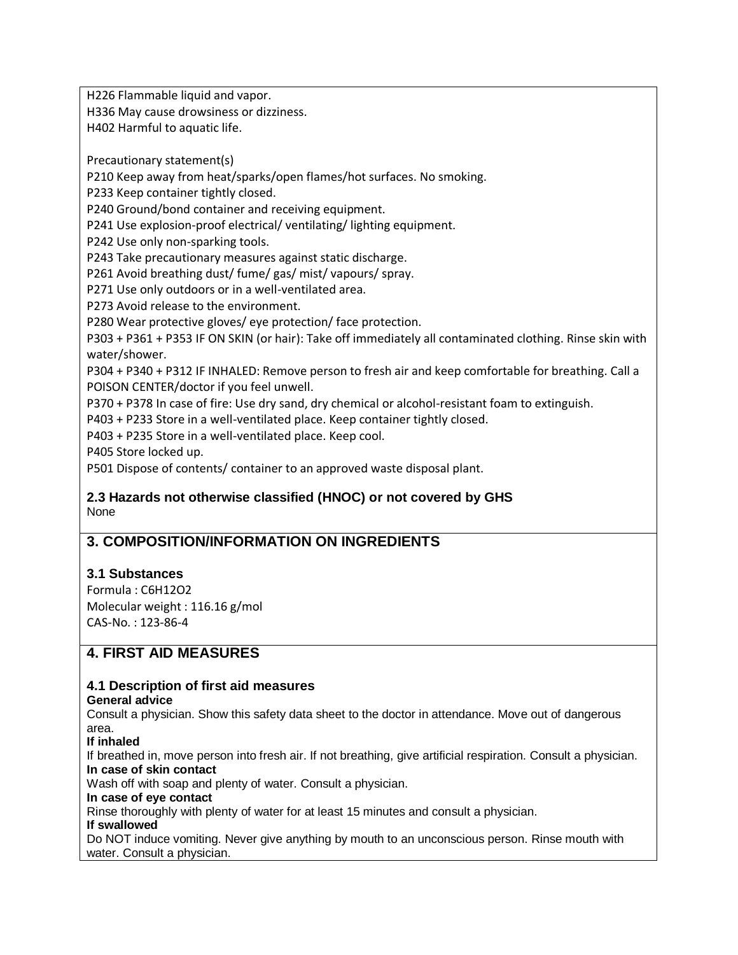H226 Flammable liquid and vapor.

H336 May cause drowsiness or dizziness.

H402 Harmful to aquatic life.

Precautionary statement(s)

P210 Keep away from heat/sparks/open flames/hot surfaces. No smoking.

P233 Keep container tightly closed.

P240 Ground/bond container and receiving equipment.

P241 Use explosion-proof electrical/ ventilating/ lighting equipment.

P242 Use only non-sparking tools.

P243 Take precautionary measures against static discharge.

P261 Avoid breathing dust/ fume/ gas/ mist/ vapours/ spray.

P271 Use only outdoors or in a well-ventilated area.

P273 Avoid release to the environment.

P280 Wear protective gloves/ eye protection/ face protection.

P303 + P361 + P353 IF ON SKIN (or hair): Take off immediately all contaminated clothing. Rinse skin with water/shower.

P304 + P340 + P312 IF INHALED: Remove person to fresh air and keep comfortable for breathing. Call a POISON CENTER/doctor if you feel unwell.

P370 + P378 In case of fire: Use dry sand, dry chemical or alcohol-resistant foam to extinguish.

P403 + P233 Store in a well-ventilated place. Keep container tightly closed.

P403 + P235 Store in a well-ventilated place. Keep cool.

P405 Store locked up.

P501 Dispose of contents/ container to an approved waste disposal plant.

### **2.3 Hazards not otherwise classified (HNOC) or not covered by GHS** None

# **3. COMPOSITION/INFORMATION ON INGREDIENTS**

## **3.1 Substances**

Formula : C6H12O2 Molecular weight : 116.16 g/mol CAS-No. : 123-86-4

# **4. FIRST AID MEASURES**

## **4.1 Description of first aid measures**

### **General advice**

Consult a physician. Show this safety data sheet to the doctor in attendance. Move out of dangerous area.

**If inhaled**

If breathed in, move person into fresh air. If not breathing, give artificial respiration. Consult a physician. **In case of skin contact**

Wash off with soap and plenty of water. Consult a physician.

### **In case of eye contact**

Rinse thoroughly with plenty of water for at least 15 minutes and consult a physician.

### **If swallowed**

Do NOT induce vomiting. Never give anything by mouth to an unconscious person. Rinse mouth with water. Consult a physician.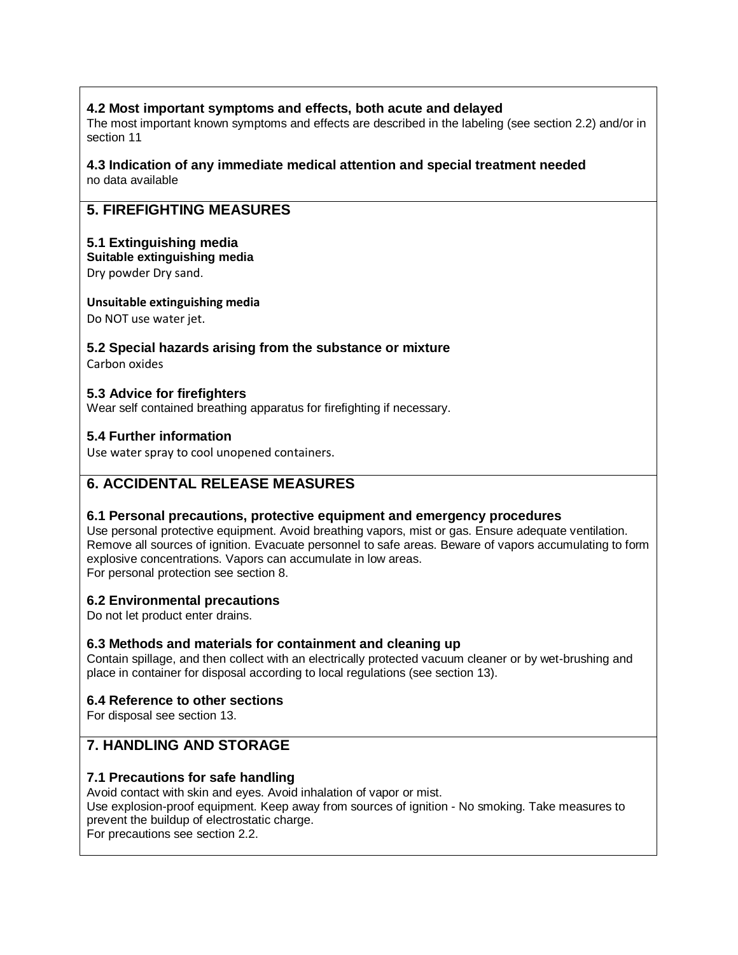## **4.2 Most important symptoms and effects, both acute and delayed**

The most important known symptoms and effects are described in the labeling (see section 2.2) and/or in section 11

#### **4.3 Indication of any immediate medical attention and special treatment needed** no data available

# **5. FIREFIGHTING MEASURES**

## **5.1 Extinguishing media**

**Suitable extinguishing media**

Dry powder Dry sand.

### **Unsuitable extinguishing media**

Do NOT use water jet.

# **5.2 Special hazards arising from the substance or mixture**

Carbon oxides

## **5.3 Advice for firefighters**

Wear self contained breathing apparatus for firefighting if necessary.

## **5.4 Further information**

Use water spray to cool unopened containers.

# **6. ACCIDENTAL RELEASE MEASURES**

## **6.1 Personal precautions, protective equipment and emergency procedures**

Use personal protective equipment. Avoid breathing vapors, mist or gas. Ensure adequate ventilation. Remove all sources of ignition. Evacuate personnel to safe areas. Beware of vapors accumulating to form explosive concentrations. Vapors can accumulate in low areas. For personal protection see section 8.

## **6.2 Environmental precautions**

Do not let product enter drains.

## **6.3 Methods and materials for containment and cleaning up**

Contain spillage, and then collect with an electrically protected vacuum cleaner or by wet-brushing and place in container for disposal according to local regulations (see section 13).

## **6.4 Reference to other sections**

For disposal see section 13.

# **7. HANDLING AND STORAGE**

## **7.1 Precautions for safe handling**

Avoid contact with skin and eyes. Avoid inhalation of vapor or mist.

Use explosion-proof equipment. Keep away from sources of ignition - No smoking. Take measures to prevent the buildup of electrostatic charge.

For precautions see section 2.2.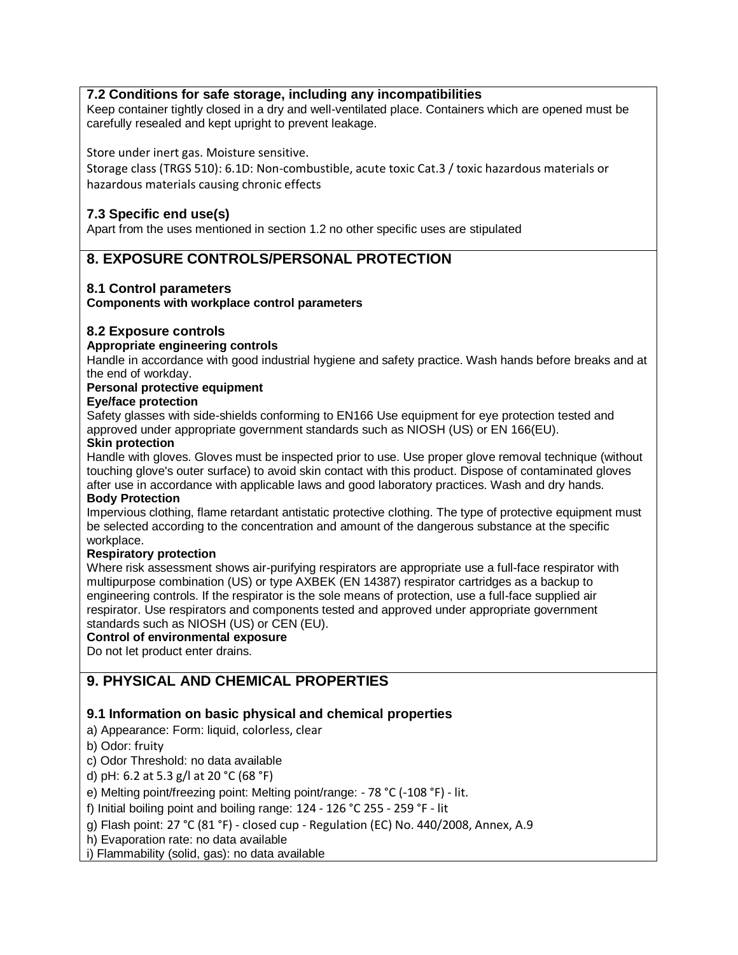## **7.2 Conditions for safe storage, including any incompatibilities**

Keep container tightly closed in a dry and well-ventilated place. Containers which are opened must be carefully resealed and kept upright to prevent leakage.

### Store under inert gas. Moisture sensitive.

Storage class (TRGS 510): 6.1D: Non-combustible, acute toxic Cat.3 / toxic hazardous materials or hazardous materials causing chronic effects

### **7.3 Specific end use(s)**

Apart from the uses mentioned in section 1.2 no other specific uses are stipulated

## **8. EXPOSURE CONTROLS/PERSONAL PROTECTION**

### **8.1 Control parameters**

**Components with workplace control parameters**

### **8.2 Exposure controls**

#### **Appropriate engineering controls**

Handle in accordance with good industrial hygiene and safety practice. Wash hands before breaks and at the end of workday.

#### **Personal protective equipment**

#### **Eye/face protection**

Safety glasses with side-shields conforming to EN166 Use equipment for eye protection tested and approved under appropriate government standards such as NIOSH (US) or EN 166(EU).

#### **Skin protection**

Handle with gloves. Gloves must be inspected prior to use. Use proper glove removal technique (without touching glove's outer surface) to avoid skin contact with this product. Dispose of contaminated gloves after use in accordance with applicable laws and good laboratory practices. Wash and dry hands. **Body Protection**

Impervious clothing, flame retardant antistatic protective clothing. The type of protective equipment must be selected according to the concentration and amount of the dangerous substance at the specific workplace.

### **Respiratory protection**

Where risk assessment shows air-purifying respirators are appropriate use a full-face respirator with multipurpose combination (US) or type AXBEK (EN 14387) respirator cartridges as a backup to engineering controls. If the respirator is the sole means of protection, use a full-face supplied air respirator. Use respirators and components tested and approved under appropriate government standards such as NIOSH (US) or CEN (EU).

### **Control of environmental exposure**

Do not let product enter drains.

## **9. PHYSICAL AND CHEMICAL PROPERTIES**

### **9.1 Information on basic physical and chemical properties**

a) Appearance: Form: liquid, colorless, clear

b) Odor: fruity

c) Odor Threshold: no data available

d) pH: 6.2 at 5.3 g/l at 20 °C (68 °F)

e) Melting point/freezing point: Melting point/range: - 78 °C (-108 °F) - lit.

f) Initial boiling point and boiling range: 124 - 126 °C 255 - 259 °F - lit

g) Flash point: 27 °C (81 °F) - closed cup - Regulation (EC) No. 440/2008, Annex, A.9

h) Evaporation rate: no data available

i) Flammability (solid, gas): no data available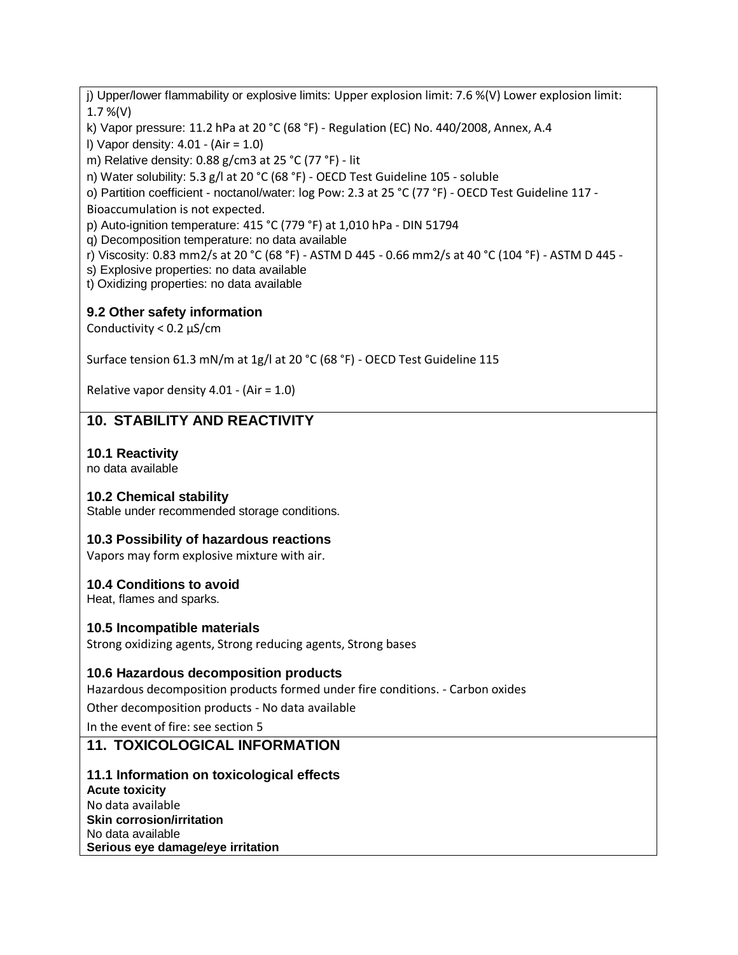j) Upper/lower flammability or explosive limits: Upper explosion limit: 7.6 %(V) Lower explosion limit: 1.7 %(V)

k) Vapor pressure: 11.2 hPa at 20 °C (68 °F) - Regulation (EC) No. 440/2008, Annex, A.4

l) Vapor density: 4.01 - (Air = 1.0)

m) Relative density: 0.88 g/cm3 at 25 °C (77 °F) - lit

n) Water solubility: 5.3 g/l at 20 °C (68 °F) - OECD Test Guideline 105 - soluble

o) Partition coefficient - noctanol/water: log Pow: 2.3 at 25 °C (77 °F) - OECD Test Guideline 117 - Bioaccumulation is not expected.

p) Auto-ignition temperature: 415 °C (779 °F) at 1,010 hPa - DIN 51794

q) Decomposition temperature: no data available

r) Viscosity: 0.83 mm2/s at 20 °C (68 °F) - ASTM D 445 - 0.66 mm2/s at 40 °C (104 °F) - ASTM D 445 -

s) Explosive properties: no data available

t) Oxidizing properties: no data available

## **9.2 Other safety information**

Conductivity < 0.2 µS/cm

Surface tension 61.3 mN/m at 1g/l at 20 °C (68 °F) - OECD Test Guideline 115

Relative vapor density 4.01 - (Air = 1.0)

# **10. STABILITY AND REACTIVITY**

## **10.1 Reactivity**

no data available

## **10.2 Chemical stability**

Stable under recommended storage conditions.

## **10.3 Possibility of hazardous reactions**

Vapors may form explosive mixture with air.

## **10.4 Conditions to avoid**

Heat, flames and sparks.

### **10.5 Incompatible materials**

Strong oxidizing agents, Strong reducing agents, Strong bases

## **10.6 Hazardous decomposition products**

Hazardous decomposition products formed under fire conditions. - Carbon oxides

Other decomposition products - No data available

In the event of fire: see section 5

# **11. TOXICOLOGICAL INFORMATION**

## **11.1 Information on toxicological effects**

**Acute toxicity** No data available **Skin corrosion/irritation** No data available **Serious eye damage/eye irritation**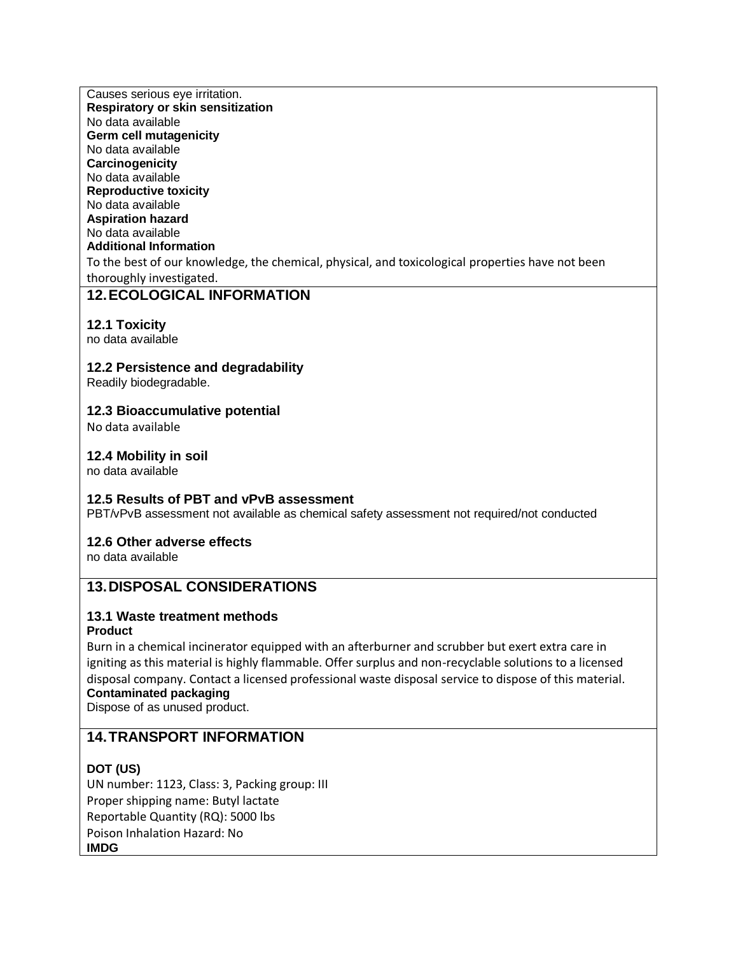Causes serious eye irritation. **Respiratory or skin sensitization** No data available **Germ cell mutagenicity** No data available **Carcinogenicity** No data available **Reproductive toxicity** No data available **Aspiration hazard** No data available **Additional Information** To the best of our knowledge, the chemical, physical, and toxicological properties have not been thoroughly investigated.

# **12.ECOLOGICAL INFORMATION**

## **12.1 Toxicity**

no data available

## **12.2 Persistence and degradability**

Readily biodegradable.

## **12.3 Bioaccumulative potential**

No data available

## **12.4 Mobility in soil**

no data available

## **12.5 Results of PBT and vPvB assessment**

PBT/vPvB assessment not available as chemical safety assessment not required/not conducted

## **12.6 Other adverse effects**

no data available

# **13.DISPOSAL CONSIDERATIONS**

## **13.1 Waste treatment methods**

### **Product**

Burn in a chemical incinerator equipped with an afterburner and scrubber but exert extra care in igniting as this material is highly flammable. Offer surplus and non-recyclable solutions to a licensed disposal company. Contact a licensed professional waste disposal service to dispose of this material. **Contaminated packaging**

Dispose of as unused product.

# **14.TRANSPORT INFORMATION**

## **DOT (US)**

UN number: 1123, Class: 3, Packing group: III Proper shipping name: Butyl lactate Reportable Quantity (RQ): 5000 lbs Poison Inhalation Hazard: No **IMDG**